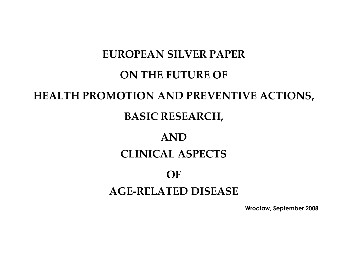# **EUROPEAN SILVER PAPER ON THE FUTURE OF HEALTH PROMOTION AND PREVENTIVE ACTIONS,**

# **BASIC RESEARCH,**

# **AND CLINICAL ASPECTS**

### **OF**

# **AGE-RELATED DISEASE**

**Wrocław, September 2008**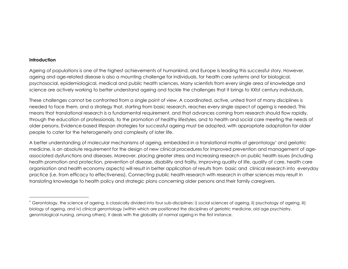#### **Introduction**

Ageing of populations is one of the highest achievements of humankind, and Europe is leading this successful story. However, ageing and age-related disease is also a mounting challenge for individuals, for health care systems and for biological, psychosocial, epidemiological, medical and public health sciences. Many scientists from every single area of knowledge and science are actively working to better understand ageing and tackle the challenges that it brings to XXIst century individuals.

These challenges cannot be confronted from a single point of view. A coordinated, active, united front of many disciplines is needed to face them, and a strategy that, starting from basic research, reaches every single aspect of ageing is needed. This means that translational research is a fundamental requirement, and that advances coming from research should flow rapidly, through the education of professionals, to the promotion of healthy lifestyles, and to health and social care meeting the needs of older persons. Evidence-based lifespan strategies for successful ageing must be adopted, with appropriate adaptation for older people to cater for the heterogeneity and complexity of later life.

A better understanding of molecular mechanisms of ageing, embedded in a translational matrix of gerontology\* and geriatric medicine, is an absolute requirement for the design of new clinical procedures for improved prevention and management of ageassociated dysfunctions and diseases. Moreover, placing greater stress and increasing research on public health issues (including health promotion and protection, prevention of disease, disability and frailty, improving quality of life, quality of care, health care organisation and health economy aspects) will result in better application of results from basic and clinical research into everyday practice (i.e. from efficacy to effectiveness). Connecting public health research with research in other sciences may result in translating knowledge to health policy and strategic plans concerning older persons and their family caregivers.

<sup>\*</sup> Gerontology, the science of ageing, is classically divided into four sub-disciplines: i) social sciences of ageing, ii) psychology of ageing, iii) biology of ageing, and iv) clinical gerontology (within which are positioned the disciplines of geriatric medicine, old age psychiatry, gerontological nursing, among others). It deals with the globality of normal ageing in the first instance.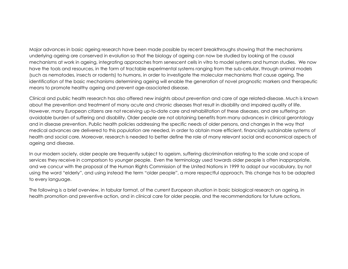Major advances in basic ageing research have been made possible by recent breakthroughs showing that the mechanisms underlying ageing are conserved in evolution so that the biology of ageing can now be studied by looking at the causal mechanisms at work in ageing, integrating approaches from senescent cells in vitro to model systems and human studies. We now have the tools and resources, in the form of tractable experimental systems ranging from the sub-cellular, through animal models (such as nematodes, insects or rodents) to humans, in order to investigate the molecular mechanisms that cause ageing. The identification of the basic mechanisms determining ageing will enable the generation of novel prognostic markers and therapeutic means to promote healthy ageing and prevent age-associated disease.

Clinical and public health research has also offered new insights about prevention and care of age related-disease. Much is known about the prevention and treatment of many acute and chronic diseases that result in disability and impaired quality of life. However, many European citizens are not receiving up-to-date care and rehabilitation of these diseases, and are suffering an avoidable burden of suffering and disability. Older people are not obtaining benefits from many advances in clinical gerontology and in disease prevention. Public health policies addressing the specific needs of older persons, and changes in the way that medical advances are delivered to this population are needed, in order to obtain more efficient, financially sustainable systems of health and social care. Moreover, research is needed to better define the role of many relevant social and economical aspects of ageing and disease.

In our modern society, older people are frequently subject to ageism, suffering discrimination relating to the scale and scope of services they receive in comparison to younger people. Even the terminology used towards older people is often inappropriate, and we concur with the proposal of the Human Rights Commission of the United Nations in 1999 to adapt our vocabulary, by not using the word "elderly", and using instead the term "older people", a more respectful approach. This change has to be adapted to every language.

The following is a brief overview, in tabular format, of the current European situation in basic biological research on ageing, in health promotion and preventive action, and in clinical care for older people, and the recommendations for future actions.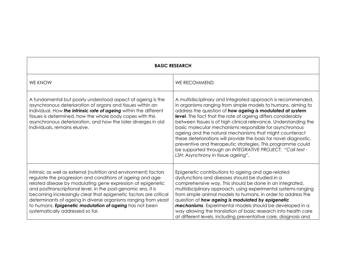| <b>BASIC RESEARCH</b>                                                                                                                                                                                                                                                                                                                                                                                                                                                                                |                                                                                                                                                                                                                                                                                                                                                                                                                                                                                                                                                                                                                                                                                           |
|------------------------------------------------------------------------------------------------------------------------------------------------------------------------------------------------------------------------------------------------------------------------------------------------------------------------------------------------------------------------------------------------------------------------------------------------------------------------------------------------------|-------------------------------------------------------------------------------------------------------------------------------------------------------------------------------------------------------------------------------------------------------------------------------------------------------------------------------------------------------------------------------------------------------------------------------------------------------------------------------------------------------------------------------------------------------------------------------------------------------------------------------------------------------------------------------------------|
| <b>WE KNOW</b>                                                                                                                                                                                                                                                                                                                                                                                                                                                                                       | <b>WE RECOMMEND</b>                                                                                                                                                                                                                                                                                                                                                                                                                                                                                                                                                                                                                                                                       |
| A fundamental but poorly understood aspect of ageing is the<br>asynchronous deterioration of organs and tissues within an<br>individual. How the intrinsic rate of ageing within the different<br>tissues is determined, how the whole body copes with this<br>asynchronous deterioration, and how the later diverges in old<br>individuals, remains elusive.                                                                                                                                        | A multidisciplinary and integrated approach is recommended,<br>in organisms ranging from simple models to humans, aiming to<br>address the question of how ageing is modulated at system<br>level. The fact that the rate of ageing differs considerably<br>between tissues is of high clinical relevance. Understanding the<br>basic molecular mechanisms responsible for asynchronous<br>ageing and the natural mechanisms that might counteract<br>these deteriorations will provide the basis for novel diagnostic,<br>preventive and therapeutic strategies. This programme could<br>be supported through an INTEGRATIVE PROJECT: "Call text -<br>LSH: Asynchrony in tissue ageing". |
| Intrinsic as well as external (nutrition and environment) factors<br>regulate the progression and conditions of ageing and age-<br>related disease by modulating gene expression at epigenetic<br>and posttranscriptional level. In the post-genomic era, it is<br>becoming increasingly clear that epigenetic factors are critical<br>determinants of ageing in diverse organisms ranging from yeast<br>to humans. Epigenetic modulation of ageing has not been<br>systematically addressed so far. | Epigenetic contributions to ageing and age-related<br>dysfunctions and diseases should be studied in a<br>comprehensive way. This should be done in an integrated,<br>multidisciplinary approach, using experimental systems ranging<br>from simple animal models to humans, in order to address the<br>question of how ageing is modulated by epigenetic<br>mechanisms. Experimental models should be developed in a<br>way allowing the translation of basic research into health care<br>at different levels, including preventative care, diagnosis and                                                                                                                               |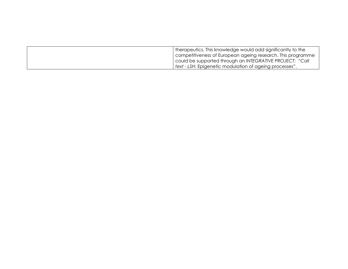| therapeutics. This knowledge would add significantly to the |
|-------------------------------------------------------------|
| competitiveness of European ageing research. This programme |
| could be supported through an INTEGRATIVE PROJECT: "Call    |
| text - LSH: Epigenetic modulation of ageing processes".     |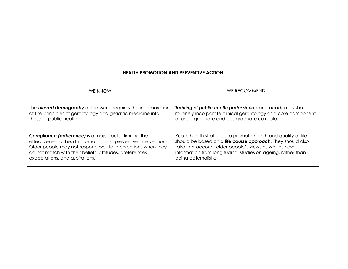| <b>HEALTH PROMOTION AND PREVENTIVE ACTION</b>                         |                                                                |
|-----------------------------------------------------------------------|----------------------------------------------------------------|
| <b>WE KNOW</b>                                                        | <b>WE RECOMMEND</b>                                            |
| The <b>altered demography</b> of the world requires the incorporation | Training of public health professionals and academics should   |
| of the principles of gerontology and geriatric medicine into          | routinely incorporate clinical gerontology as a core component |
| those of public health.                                               | of undergraduate and postgraduate curricula.                   |
| <b>Compliance (adherence)</b> is a major factor limiting the          | Public health strategies to promote health and quality of life |
| effectiveness of health promotion and preventive interventions.       | should be based on a life course approach. They should also    |
| Older people may not respond well to interventions when they          | take into account older people's views as well as new          |
| do not match with their beliefs, attitudes, preferences,              | information from longitudinal studies on ageing, rather than   |
| expectations, and aspirations.                                        | being paternalistic.                                           |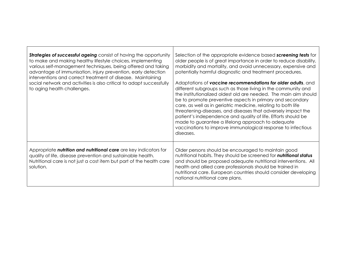| <b>Strategies of successful ageing</b> consist of having the opportunity<br>to make and making healthy lifestyle choices, implementing<br>various self-management techniques, being offered and taking<br>advantage of immunisation, injury prevention, early detection<br>interventions and correct treatment of disease. Maintaining<br>social network and activities is also critical to adapt successfully<br>to aging health challenges. | Selection of the appropriate evidence based screening tests for<br>older people is of great importance in order to reduce disability,<br>morbidity and mortality, and avoid unnecessary, expensive and<br>potentially harmful diagnostic and treatment procedures.<br>Adaptations of vaccine recommendations for older adults, and<br>different subgroups such as those living in the community and<br>the institutionalized oldest old are needed. The main aim should<br>be to promote preventive aspects in primary and secondary<br>care, as well as in geriatric medicine, relating to both life<br>threatening-diseases, and diseases that adversely impact the<br>patient's independence and quality of life. Efforts should be<br>made to guarantee a lifelong approach to adequate<br>vaccinations to improve immunological response to infectious<br>diseases. |
|-----------------------------------------------------------------------------------------------------------------------------------------------------------------------------------------------------------------------------------------------------------------------------------------------------------------------------------------------------------------------------------------------------------------------------------------------|--------------------------------------------------------------------------------------------------------------------------------------------------------------------------------------------------------------------------------------------------------------------------------------------------------------------------------------------------------------------------------------------------------------------------------------------------------------------------------------------------------------------------------------------------------------------------------------------------------------------------------------------------------------------------------------------------------------------------------------------------------------------------------------------------------------------------------------------------------------------------|
| Appropriate nutrition and nutritional care are key indicators for<br>quality of life, disease prevention and sustainable health.<br>Nutritional care is not just a cost item but part of the health care<br>solution.                                                                                                                                                                                                                         | Older persons should be encouraged to maintain good<br>nutritional habits. They should be screened for nutritional status<br>and should be proposed adequate nutritional interventions. All<br>health and allied care professionals should be trained in<br>nutritional care. European countries should consider developing<br>national nutritional care plans.                                                                                                                                                                                                                                                                                                                                                                                                                                                                                                          |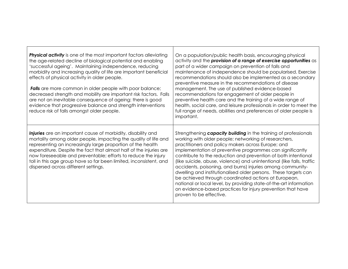| <b>Physical activity</b> is one of the most important factors alleviating<br>the age-related decline of biological potential and enabling<br>'successful ageing'. Maintaining independence, reducing<br>morbidity and increasing quality of life are important beneficial<br>effects of physical activity in older people.<br><b>Falls</b> are more common in older people with poor balance;<br>decreased strength and mobility are important risk factors. Falls<br>are not an inevitable consequence of ageing: there is good<br>evidence that progressive balance and strength interventions<br>reduce risk of falls amongst older people. | On a population/public health basis, encouraging physical<br>activity and the provision of a range of exercise opportunities as<br>part of a wider campaign on prevention of falls and<br>maintenance of independence should be popularised. Exercise<br>recommendations should also be implemented as a secondary<br>preventive measure in the recommendations of disease<br>management. The use of published evidence-based<br>recommendations for engagement of older people in<br>preventive health care and the training of a wide range of<br>health, social care, and leisure professionals in order to meet the<br>full range of needs, abilities and preferences of older people is<br>important.                                        |
|------------------------------------------------------------------------------------------------------------------------------------------------------------------------------------------------------------------------------------------------------------------------------------------------------------------------------------------------------------------------------------------------------------------------------------------------------------------------------------------------------------------------------------------------------------------------------------------------------------------------------------------------|---------------------------------------------------------------------------------------------------------------------------------------------------------------------------------------------------------------------------------------------------------------------------------------------------------------------------------------------------------------------------------------------------------------------------------------------------------------------------------------------------------------------------------------------------------------------------------------------------------------------------------------------------------------------------------------------------------------------------------------------------|
| Injuries are an important cause of morbidity, disability and<br>mortality among older people, impacting the quality of life and<br>representing an increasingly large proportion of the health<br>expenditure. Despite the fact that almost half of the injuries are<br>now foreseeable and preventable; efforts to reduce the injury<br>toll in this age group have so far been limited, inconsistent, and<br>dispersed across different settings.                                                                                                                                                                                            | Strengthening capacity building in the training of professionals<br>working with older people; networking of researchers,<br>practitioners and policy makers across Europe; and<br>implementation of preventive programmes can significantly<br>contribute to the reduction and prevention of both intentional<br>(like suicide, abuse, violence) and unintentional (like falls, traffic<br>accidents, poisoning, and burns) injuries among community-<br>dwelling and institutionalised older persons. These targets can<br>be achieved through coordinated actions at European,<br>national or local level, by providing state-of-the-art information<br>on evidence-based practices for injury prevention that have<br>proven to be effective. |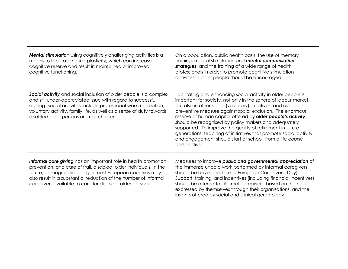| Mental stimulation using cognitively challenging activities is a<br>means to facilitate neural plasticity, which can increase<br>cognitive reserve and result in maintained or improved<br>cognitive functioning.                                                                                                                 | On a population, public health basis, the use of memory<br>training, mental stimulation and mental compensation<br>strategies, and the training of a wide range of health<br>professionals in order to promote cognitive stimulation<br>activities in older people should be encouraged.                                                                                                                                                                                                                                                                                                          |
|-----------------------------------------------------------------------------------------------------------------------------------------------------------------------------------------------------------------------------------------------------------------------------------------------------------------------------------|---------------------------------------------------------------------------------------------------------------------------------------------------------------------------------------------------------------------------------------------------------------------------------------------------------------------------------------------------------------------------------------------------------------------------------------------------------------------------------------------------------------------------------------------------------------------------------------------------|
| <b>Social activity</b> and social inclusion of older people is a complex<br>and still under-appreciated issue with regard to successful<br>ageing. Social activities include professional work, recreation,<br>voluntary activity, family life, as well as a sense of duty towards<br>disabled older persons or small children.   | Facilitating and enhancing social activity in older people is<br>important for society, not only in the sphere of labour market,<br>but also in other social (voluntary) initiatives, and as a<br>preventive measure against social exclusion. The enormous<br>reserve of human capital offered by older people's activity<br>should be recognised by policy makers and adequately<br>supported. To improve the quality of retirement in future<br>generations, teaching of initiatives that promote social activity<br>and engagement should start at school, from a life course<br>perspective. |
| Informal care giving has an important role in health promotion,<br>prevention, and care of frail, disabled, older individuals. In the<br>future, demographic aging in most European countries may<br>also result in a substantial reduction of the number of informal<br>caregivers available to care for disabled older persons. | Measures to improve public and governmental appreciation of<br>the immense unpaid work performed by informal caregivers<br>should be developed (i.e. a European Caregivers' Day).<br>Support, training, and incentives (including financial incentives)<br>should be offered to informal caregivers, based on the needs<br>expressed by themselves through their organisations, and the<br>insights offered by social and clinical gerontology.                                                                                                                                                   |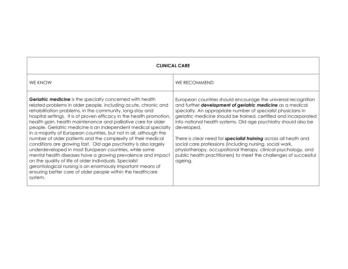| <b>CLINICAL CARE</b>                                                                                                                                                                                                                                                                                                                                                                                                                                                                                                                                                                                                                                                                                                                                                                                                                                                                                                                        |                                                                                                                                                                                                                                                                                                                                                                                                                                                                                                                                                                                                                                                 |
|---------------------------------------------------------------------------------------------------------------------------------------------------------------------------------------------------------------------------------------------------------------------------------------------------------------------------------------------------------------------------------------------------------------------------------------------------------------------------------------------------------------------------------------------------------------------------------------------------------------------------------------------------------------------------------------------------------------------------------------------------------------------------------------------------------------------------------------------------------------------------------------------------------------------------------------------|-------------------------------------------------------------------------------------------------------------------------------------------------------------------------------------------------------------------------------------------------------------------------------------------------------------------------------------------------------------------------------------------------------------------------------------------------------------------------------------------------------------------------------------------------------------------------------------------------------------------------------------------------|
| <b>WE KNOW</b>                                                                                                                                                                                                                                                                                                                                                                                                                                                                                                                                                                                                                                                                                                                                                                                                                                                                                                                              | <b>WE RECOMMEND</b>                                                                                                                                                                                                                                                                                                                                                                                                                                                                                                                                                                                                                             |
| <b>Geriatric medicine</b> is the specialty concerned with health<br>related problems in older people, including acute, chronic and<br>rehabilitation problems, in the community, long-stay and<br>hospital settings. It is of proven efficacy in the health promotion,<br>health gain, health maintenance and palliative care for older<br>people. Geriatric medicine is an independent medical specialty<br>in a majority of European countries, but not in all, although the<br>number of older patients and the complexity of their medical<br>conditions are growing fast. Old age psychiatry is also largely<br>underdeveloped in most European countries, while some<br>mental health diseases have a growing prevalence and impact<br>on the quality of life of older individuals. Specialist<br>gerontological nursing is an enormously important means of<br>ensuring better care of older people within the healthcare<br>system. | European countries should encourage the universal recognition<br>and further <b>development of geriatric medicine</b> as a medical<br>specialty. An appropriate number of specialist physicians in<br>geriatric medicine should be trained, certified and incorporated<br>into national health systems. Old age psychiatry should also be<br>developed.<br>There is clear need for <b>specialist training</b> across all heath and<br>social care professions (including nursing, social work,<br>physiotherapy, occupational therapy, clinical psychology, and<br>public health practitioners) to meet the challenges of successful<br>ageing. |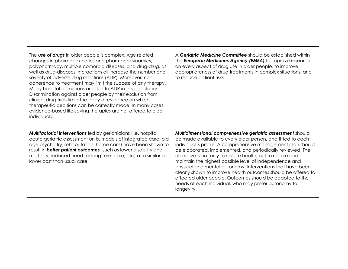| The use of drugs in older people is complex. Age related<br>changes in pharmacokinetics and pharmacodynamics,<br>polypharmacy, multiple comorbid diseases, and drug-drug, as<br>well as drug-diseases interactions all increase the number and<br>severity of adverse drug reactions (ADR). Moreover, non-<br>adherence to treatment may limit the success of any therapy.<br>Many hospital admissions are due to ADR in this population.<br>Discrimination against older people by their exclusion from<br>clinical drug trials limits the body of evidence on which<br>therapeutic decisions can be correctly made. In many cases,<br>evidence-based life-saving therapies are not offered to older<br>individuals. | A Geriatric Medicine Committee should be established within<br>the <b>European Medicines Agency (EMEA)</b> to improve research<br>on every aspect of drug use in older people, to improve<br>appropriateness of drug treatments in complex situations, and<br>to reduce patient risks.                                                                                                                                                                                                                                                                                                                                                             |
|-----------------------------------------------------------------------------------------------------------------------------------------------------------------------------------------------------------------------------------------------------------------------------------------------------------------------------------------------------------------------------------------------------------------------------------------------------------------------------------------------------------------------------------------------------------------------------------------------------------------------------------------------------------------------------------------------------------------------|----------------------------------------------------------------------------------------------------------------------------------------------------------------------------------------------------------------------------------------------------------------------------------------------------------------------------------------------------------------------------------------------------------------------------------------------------------------------------------------------------------------------------------------------------------------------------------------------------------------------------------------------------|
| <b>Multifactorial interventions</b> led by geriatricians (i.e. hospital<br>acute geriatric assessment units, models of integrated care, old<br>age psychiatry, rehabilitation, home care) have been shown to<br>result in <b>better patient outcomes</b> (such as lower disability and<br>mortality, reduced need for long term care, etc) at a similar or<br>lower cost than usual care.                                                                                                                                                                                                                                                                                                                             | Multidimensional comprehensive geriatric assessment should<br>be made available to every older person, and fitted to each<br>individual's profile. A comprehensive management plan should<br>be elaborated, implemented, and periodically reviewed. The<br>objective is not only to restore health, but to restore and<br>maintain the highest possible level of independence and<br>physical and mental autonomy. Interventions that have been<br>clearly shown to improve health outcomes should be offered to<br>affected older people. Outcomes should be adapted to the<br>needs of each individual, who may prefer autonomy to<br>longevity. |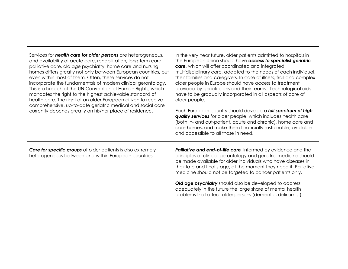| Services for <i>health</i> care for older persons are heterogeneous,<br>and availability of acute care, rehabilitation, long term care,<br>palliative care, old age psychiatry, home care and nursing<br>homes differs greatly not only between European countries, but<br>even within most of them. Often, these services do not<br>incorporate the fundamentals of modern clinical gerontology.<br>This is a breach of the UN Convention of Human Rights, which<br>mandates the right to the highest achievable standard of<br>health care. The right of an older European citizen to receive<br>comprehensive, up-to-date geriatric medical and social care<br>currently depends greatly on his/her place of residence. | In the very near future, older patients admitted to hospitals in<br>the European Union should have access to specialist geriatric<br>care, which will offer coordinated and integrated<br>multidisciplinary care, adapted to the needs of each individual,<br>their families and caregivers. In case of illness, frail and complex<br>older people in Europe should have access to treatment<br>provided by geriatricians and their teams. Technological aids<br>have to be gradually incorporated in all aspects of care of<br>older people.<br>Each European country should develop a full spectrum of high<br>quality services for older people, which includes health care<br>(both in- and out-patient, acute and chronic), home care and<br>care homes, and make them financially sustainable, available<br>and accessible to all those in need. |
|----------------------------------------------------------------------------------------------------------------------------------------------------------------------------------------------------------------------------------------------------------------------------------------------------------------------------------------------------------------------------------------------------------------------------------------------------------------------------------------------------------------------------------------------------------------------------------------------------------------------------------------------------------------------------------------------------------------------------|--------------------------------------------------------------------------------------------------------------------------------------------------------------------------------------------------------------------------------------------------------------------------------------------------------------------------------------------------------------------------------------------------------------------------------------------------------------------------------------------------------------------------------------------------------------------------------------------------------------------------------------------------------------------------------------------------------------------------------------------------------------------------------------------------------------------------------------------------------|
| <b>Care for specific groups</b> of older patients is also extremely<br>heterogeneous between and within European countries.                                                                                                                                                                                                                                                                                                                                                                                                                                                                                                                                                                                                | <b>Palliative and end-of-life care, informed by evidence and the</b><br>principles of clinical gerontology and geriatric medicine should<br>be made available for older individuals who have diseases in<br>their late and final stage, at the moment they need it. Palliative<br>medicine should not be targeted to cancer patients only.<br><b>Old age psychiatry</b> should also be developed to address<br>adequately in the future the large share of mental health<br>problems that affect older persons (dementia, delirium).                                                                                                                                                                                                                                                                                                                   |

 $\mathbf{I}$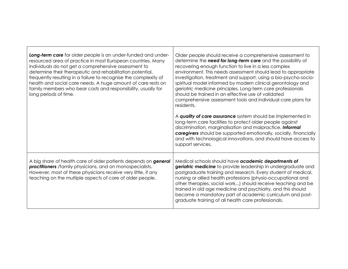| Long-term care for older people is an under-funded and under-<br>resourced area of practice in most European countries. Many<br>individuals do not get a comprehensive assessment to<br>determine their therapeutic and rehabilitation potential,<br>frequently resulting in a failure to recognise the complexity of<br>health and social care needs. A huge amount of care rests on<br>family members who bear costs and responsibility, usually for<br>long periods of time. | Older people should receive a comprehensive assessment to<br>determine the need for long-term care and the possibility of<br>recovering enough function to live in a less complex<br>environment. This needs assessment should lead to appropriate<br>investigation, treatment and support, using a bio-psycho-socio-<br>spiritual model informed by modern clinical gerontology and<br>geriatric medicine principles. Long-term care professionals<br>should be trained in an effective use of validated<br>comprehensive assessment tools and individual care plans for<br>residents. |
|---------------------------------------------------------------------------------------------------------------------------------------------------------------------------------------------------------------------------------------------------------------------------------------------------------------------------------------------------------------------------------------------------------------------------------------------------------------------------------|-----------------------------------------------------------------------------------------------------------------------------------------------------------------------------------------------------------------------------------------------------------------------------------------------------------------------------------------------------------------------------------------------------------------------------------------------------------------------------------------------------------------------------------------------------------------------------------------|
|                                                                                                                                                                                                                                                                                                                                                                                                                                                                                 | A quality of care assurance system should be implemented in<br>long-term care facilities to protect older people against<br>discrimination, marginalisation and malpractice. Informal<br>caregivers should be supported emotionally, socially, financially<br>and with technological innovations, and should have access to<br>support services.                                                                                                                                                                                                                                        |
| A big share of health care of older patients depends on <b>general</b><br><b>practitioners</b> /family physicians, and on monospecialists.<br>However, most of these physicians receive very little, if any<br>teaching on the multiple aspects of care of older people.                                                                                                                                                                                                        | Medical schools should have academic departments of<br>geriatric medicine to provide leadership in undergraduate and<br>postgraduate training and research. Every student of medical,<br>nursing or allied health professions (physio-occupational and<br>other therapies, social work) should receive teaching and be<br>trained in old age medicine and psychiatry, and this should<br>become a mandatory part of academic curriculum and post-<br>graduate training of all health care professionals.                                                                                |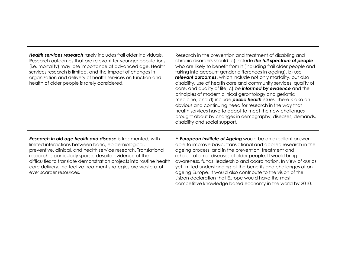| Health services research rarely includes frail older individuals.<br>Research outcomes that are relevant for younger populations<br>(i.e. mortality) may lose importance at advanced age. Health<br>services research is limited, and the impact of changes in<br>organization and delivery of health services on function and<br>health of older people is rarely considered.                                           | Research in the prevention and treatment of disabling and<br>chronic disorders should: a) include the full spectrum of people<br>who are likely to benefit from it (including frail older people and<br>taking into account gender differences in ageing), b) use<br>relevant outcomes, which include not only mortality, but also<br>disability, use of health care and community services, quality of<br>care, and quality of life, c) be <i>informed by evidence</i> and the<br>principles of modern clinical gerontology and geriatric<br>medicine, and d) include <i>public</i> health issues. There is also an<br>obvious and continuing need for research in the way that<br>health services have to adapt to meet the new challenges<br>brought about by changes in demography, diseases, demands,<br>disability and social support. |
|--------------------------------------------------------------------------------------------------------------------------------------------------------------------------------------------------------------------------------------------------------------------------------------------------------------------------------------------------------------------------------------------------------------------------|----------------------------------------------------------------------------------------------------------------------------------------------------------------------------------------------------------------------------------------------------------------------------------------------------------------------------------------------------------------------------------------------------------------------------------------------------------------------------------------------------------------------------------------------------------------------------------------------------------------------------------------------------------------------------------------------------------------------------------------------------------------------------------------------------------------------------------------------|
| Research in old age health and disease is fragmented, with<br>limited interactions between basic, epidemiological,<br>preventive, clinical, and health service research. Translational<br>research is particularly sparse, despite evidence of the<br>difficulties to translate demonstration projects into routine health<br>care delivery. Ineffective treatment strategies are wasteful of<br>ever scarcer resources. | A European Institute of Ageing would be an excellent answer,<br>able to improve basic, translational and applied research in the<br>ageing process, and in the prevention, treatment and<br>rehabilitation of diseases of older people. It would bring<br>awareness, funds, leadership and coordination. In view of our as<br>yet limited understanding of the benefits and challenges of an<br>ageing Europe, it would also contribute to the vision of the<br>Lisbon declaration that Europe would have the most<br>competitive knowledge based economy in the world by 2010.                                                                                                                                                                                                                                                              |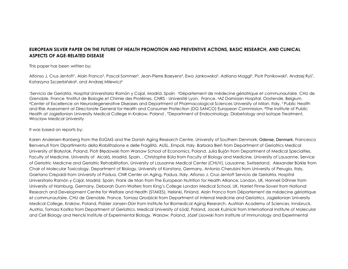#### **EUROPEAN SILVER PAPER ON THE FUTURE OF HEALTH PROMOTION AND PREVENTIVE ACTIONS, BASIC RESEARCH, AND CLINICAL ASPECTS OF AGE-RELATED DISEASE**

#### This paper has been written by:

Alfonso J. Cruz-Jentoft<sup>1</sup>, Alain Franco<sup>2</sup>, Pascal Sommer<sup>3</sup>, Jean-Pierre Baeyens<sup>4</sup>, Ewa Jankowska<sup>5</sup>, Adriana Maggi<sup>6</sup>, Piotr Ponikowski<sup>5</sup>, Andrzej Ryś<sup>7</sup>, Katarzyna Szczerbińska<sup>8</sup>, and Andrzej Milewicz<sup>9</sup>

<sup>1</sup>Servicio de Geriatría. Hospital Universitario Ramón y Cajal. Madrid. Spain , <sup>2</sup>Département de médecine gériatrique et communautaire. CHU de Grenoble. France, <sup>3</sup>Institut de Biologie et Chimie des Protéines, CNRS - Université Lyon, France, 4AZ Damiaan Hospital. Oostende. Belgium, <sup>6</sup>Center of Excellence on Neurodegenerative Diseases and Department of Pharmacological Sciences University of Milan, Italy, 7 Public Health and Risk Assessment at Directorate General for Health and Consumer Protection (DG SANCO) European Commission, 8The Institute of Public Health at Jagiellonian University Medical College in Krakow, Poland , <sup>9</sup>Department of Endocrinology, Diabetology and Isotope Treatment, Wroclaw Medical University

#### It was based on reports by:

Karen Andersen-Ranberg from the EUGMS and the Danish Aging Research Centre, University of Southern Denmark, Odense, Denmark, Francesco Benvenuti from Dipartimento della Riabilitazione e delle Fragilità, AUSL, Empoli, Italy, Barbara Bień from Department of Geriatrics Medical University of Białystok, Poland, Piotr Błędowski from Warsaw School of Economics, Poland, Julia Buján from Department of Medical Specialties, Faculty of Medicine, University of Alcalá, Madrid, Spain, , Christophe Büla from Faculty of Biology and Medicine, University of Lausanne, Service of Geriatric Medicine and Geriatric Rehabilitation, University of Lausanne Medical Center (CHUV), Lausanne, Switzerland, Alexander Bürkle from Chair of Molecular Toxicology, Department of Biology, University of Konstanz, Germany, Antonio Cherubini from University of Perugia, Italy, Gaetano Crepaldi from University of Padua, CNR Center on Aging, Padua, Italy, Alfonso J. Cruz-Jentoft Servicio de Geriatría. Hospital Universitario Ramón y Cajal. Madrid. Spain, Frank de Man from The European Nutrition for Health Alliance, London, UK, Hanneli Dőhner from University of Hamburg, Germany, Deborah Dunn-Walters from King's College London Medical School, UK, Harriet Finne-Soveri from National Research and Development Centre for Welfare and Health (STAKES), Helsinki, Finland, Alain Franco from Département de médecine gériatrique et communautaire. CHU de Grenoble. France, Tomasz Grodzicki from Department of Internal Medicine and Geriatrics, Jagiellonian University Medical College, Kraków, Poland, Pidder Jansen-Dürr from Institute for Biomedical Aging Research, Austrian Academy of Sciences, Innsbruck, Austria, Tomasz Kostka from Department of Geriatrics, Medical University of Łódź, Poland, Jacek Kuźnicki from International Institute of Molecular and Cell Biology and Nencki Institute of Experimental Biology, Warsaw, Poland, Józef Lisowski from Institute of Immunology and Experimental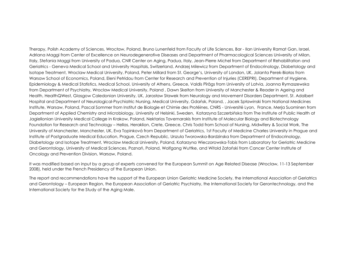Therapy, Polish Academy of Sciences, Wrocław, Poland, Bruno Lunenfeld from Faculty of Life Sciences, Bar - Ilan University Ramat Gan, Israel, Adriana Maggi from Center of Excellence on Neurodegenerative Diseases and Department of Pharmacological Sciences University of Milan, Italy, Stefania Maggi from University of Padua, CNR Center on Aging, Padua, Italy, Jean-Pierre Michel from Department of Rehabilitation and Geriatrics - Geneva Medical School and University Hospitals, Switzerland, Andrzej Milewicz from Department of Endocrinology, Diabetology and Isotope Treatment, Wroclaw Medical University, Poland, Peter Millard from St. George's, University of London, UK, Jolanta Perek-Białas from Warsaw School of Economics, Poland, Eleni Petridou from Center for Research and Prevention of Injuries (CEREPRI), Department of Hygiene, Epidemiology & Medical Statistics, Medical School, University of Athens, Greece, Valdis Pīrāgs from University of Latvia, Joanna Rymaszewska from Department of Psychiatry, Wroclaw Medical University, Poland , Dawn Skelton from University of Manchester & Reader in Ageing and Health, HealthQWest, Glasgow Caledonian University, UK, Jarosław Sławek from Neurology and Movement Disorders Department, St. Adalbert Hospital and Department of Neurological-Psychiatric Nursing, Medical University, Gdańsk, Poland, , Jacek Spławinski from National Medicines Institute, Warsaw, Poland, Pascal Sommer from Institut de Biologie et Chimie des Protéines, CNRS - Université Lyon, France, Merja Suominen from Department of Applied Chemistry and Microbiology, University of Helsinki, Sweden, Katarzyna Szczerbińska from The Institute of Public Health at Jagiellonian University Medical College in Krakow, Poland, Nektarios Tavernarakis from Institute of Molecular Biology and Biotechnology Foundation for Research and Technology – Hellas, Heraklion, Crete, Greece, Chris Todd from School of Nursing, Midwifery & Social Work, The University of Manchester, Manchester, UK, Eva Topinková from Department of Geriatrics, 1st Faculty of Medicine Charles University in Prague and Institute of Postgraduate Medical Education, Prague, Czech Republic, Urszula Tworowska-Bardzinska from Department of Endocrinology, Diabetology and Isotope Treatment, Wroclaw Medical University, Poland, Katarzyna Wieczorowska-Tobis from Laboratory for Geriatric Medicine and Gerontology, University of Medical Sciences, Poznań, Poland, Wolfgang Wuttke, and Witold Zatoński from Cancer Center Institute of Oncology and Prevention Division, Warsaw, Poland.

It was modified based on input by a group of experts convened for the European Summit on Age Related Disease (Wroclaw, 11-13 September 2008), held under the French Presidency of the European Union.

The report and recommendations have the support of the European Union Geriatric Medicine Society, the International Association of Geriatrics and Gerontology – European Region, the European Association of Geriatric Psychiatry, the International Society for Gerontechnology, and the International Society for the Study of the Aging Male.